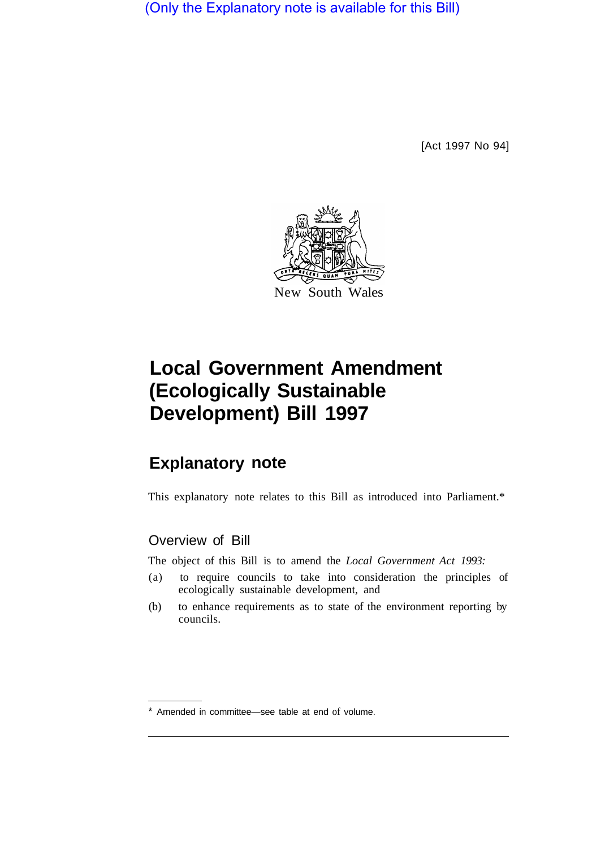(Only the Explanatory note is available for this Bill)

[Act 1997 No 94]



## **Local Government Amendment (Ecologically Sustainable Development) Bill 1997**

## **Explanatory note**

This explanatory note relates to this Bill as introduced into Parliament.\*

## Overview of Bill

The object of this Bill is to amend the *Local Government Act 1993:* 

- (a) to require councils to take into consideration the principles of ecologically sustainable development, and
- (b) to enhance requirements as to state of the environment reporting by councils.

<sup>\*</sup> Amended in committee—see table at end of volume.